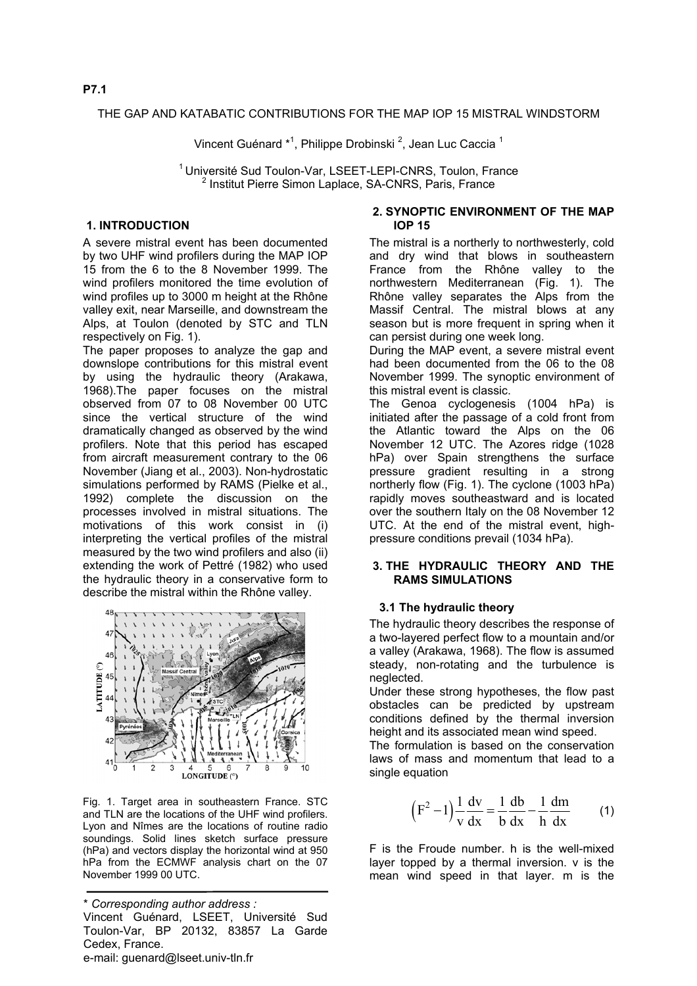#### THE GAP AND KATABATIC CONTRIBUTIONS FOR THE MAP IOP 15 MISTRAL WINDSTORM

Vincent Guénard \*<sup>1</sup>, Philippe Drobinski <sup>2</sup>, Jean Luc Caccia <sup>1</sup>

<sup>1</sup> Université Sud Toulon-Var, LSEET-LEPI-CNRS, Toulon, France <sup>2</sup> Institut Pierre Simon Laplace, SA-CNRS, Paris, France

# **1. INTRODUCTION**

A severe mistral event has been documented by two UHF wind profilers during the MAP IOP 15 from the 6 to the 8 November 1999. The wind profilers monitored the time evolution of wind profiles up to 3000 m height at the Rhône valley exit, near Marseille, and downstream the Alps, at Toulon (denoted by STC and TLN respectively on Fig. 1).

The paper proposes to analyze the gap and downslope contributions for this mistral event by using the hydraulic theory (Arakawa, 1968).The paper focuses on the mistral observed from 07 to 08 November 00 UTC since the vertical structure of the wind dramatically changed as observed by the wind profilers. Note that this period has escaped from aircraft measurement contrary to the 06 November (Jiang et al., 2003). Non-hydrostatic simulations performed by RAMS (Pielke et al., 1992) complete the discussion on the processes involved in mistral situations. The motivations of this work consist in (i) interpreting the vertical profiles of the mistral measured by the two wind profilers and also (ii) extending the work of Pettré (1982) who used the hydraulic theory in a conservative form to describe the mistral within the Rhône valley.



Fig. 1. Target area in southeastern France. STC and TLN are the locations of the UHF wind profilers. Lyon and Nîmes are the locations of routine radio soundings. Solid lines sketch surface pressure (hPa) and vectors display the horizontal wind at 950 hPa from the ECMWF analysis chart on the 07 November 1999 00 UTC.

### **2. SYNOPTIC ENVIRONMENT OF THE MAP IOP 15**

The mistral is a northerly to northwesterly, cold and dry wind that blows in southeastern France from the Rhône valley to the northwestern Mediterranean (Fig. 1). The Rhône valley separates the Alps from the Massif Central. The mistral blows at any season but is more frequent in spring when it can persist during one week long.

During the MAP event, a severe mistral event had been documented from the 06 to the 08 November 1999. The synoptic environment of this mistral event is classic.

The Genoa cyclogenesis (1004 hPa) is initiated after the passage of a cold front from the Atlantic toward the Alps on the 06 November 12 UTC. The Azores ridge (1028 hPa) over Spain strengthens the surface pressure gradient resulting in a strong northerly flow (Fig. 1). The cyclone (1003 hPa) rapidly moves southeastward and is located over the southern Italy on the 08 November 12 UTC. At the end of the mistral event, highpressure conditions prevail (1034 hPa).

### **3. THE HYDRAULIC THEORY AND THE RAMS SIMULATIONS**

### **3.1 The hydraulic theory**

The hydraulic theory describes the response of a two-layered perfect flow to a mountain and/or a valley (Arakawa, 1968). The flow is assumed steady, non-rotating and the turbulence is neglected.

Under these strong hypotheses, the flow past obstacles can be predicted by upstream conditions defined by the thermal inversion height and its associated mean wind speed.

The formulation is based on the conservation laws of mass and momentum that lead to a single equation

<span id="page-0-0"></span>
$$
(F2 - 1) \frac{1}{v} \frac{dv}{dx} = \frac{1}{b} \frac{db}{dx} - \frac{1}{h} \frac{dm}{dx}
$$
 (1)

F is the Froude number. h is the well-mixed layer topped by a thermal inversion. v is the mean wind speed in that layer. m is the

<sup>\*</sup> *Corresponding author address :*  Vincent Guénard, LSEET, Université Sud Toulon-Var, BP 20132, 83857 La Garde Cedex, France. e-mail: guenard@lseet.univ-tln.fr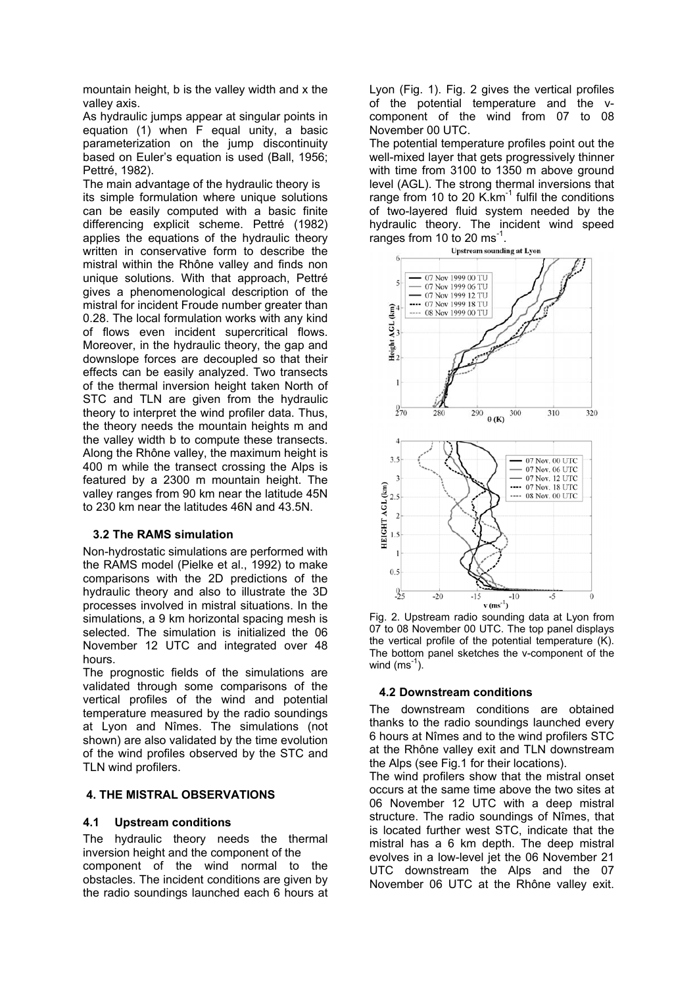mountain height, b is the valley width and x the valley axis.

As hydraulic jumps appear at singular points in equation [\(1\)](#page-0-0) when F equal unity, a basic parameterization on the jump discontinuity based on Euler's equation is used (Ball, 1956; Pettré, 1982).

The main advantage of the hydraulic theory is its simple formulation where unique solutions can be easily computed with a basic finite differencing explicit scheme. Pettré (1982) applies the equations of the hydraulic theory written in conservative form to describe the mistral within the Rhône valley and finds non unique solutions. With that approach, Pettré gives a phenomenological description of the mistral for incident Froude number greater than 0.28. The local formulation works with any kind of flows even incident supercritical flows. Moreover, in the hydraulic theory, the gap and downslope forces are decoupled so that their effects can be easily analyzed. Two transects of the thermal inversion height taken North of STC and TLN are given from the hydraulic theory to interpret the wind profiler data. Thus, the theory needs the mountain heights m and the valley width b to compute these transects. Along the Rhône valley, the maximum height is 400 m while the transect crossing the Alps is featured by a 2300 m mountain height. The valley ranges from 90 km near the latitude 45N to 230 km near the latitudes 46N and 43.5N.

## **3.2 The RAMS simulation**

Non-hydrostatic simulations are performed with the RAMS model (Pielke et al., 1992) to make comparisons with the 2D predictions of the hydraulic theory and also to illustrate the 3D processes involved in mistral situations. In the simulations, a 9 km horizontal spacing mesh is selected. The simulation is initialized the 06 November 12 UTC and integrated over 48 hours.

The prognostic fields of the simulations are validated through some comparisons of the vertical profiles of the wind and potential temperature measured by the radio soundings at Lyon and Nîmes. The simulations (not shown) are also validated by the time evolution of the wind profiles observed by the STC and TLN wind profilers.

### **4. THE MISTRAL OBSERVATIONS**

### **4.1 Upstream conditions**

The hydraulic theory needs the thermal inversion height and the component of the component of the wind normal to the obstacles. The incident conditions are given by the radio soundings launched each 6 hours at Lyon (Fig. 1). Fig. 2 gives the vertical profiles of the potential temperature and the vcomponent of the wind from 07 to 08 November 00 UTC.

The potential temperature profiles point out the well-mixed layer that gets progressively thinner with time from 3100 to 1350 m above ground level (AGL). The strong thermal inversions that range from 10 to 20 K. $km^{-1}$  fulfil the conditions of two-layered fluid system needed by the hydraulic theory. The incident wind speed ranges from 10 to 20  $\text{ms}^{-1}$ .<br>Upstream sounding at Lyon



Fig. 2. Upstream radio sounding data at Lyon from 07 to 08 November 00 UTC. The top panel displays the vertical profile of the potential temperature (K). The bottom panel sketches the v-component of the wind  $(ms^{-1})$ .

### **4.2 Downstream conditions**

The downstream conditions are obtained thanks to the radio soundings launched every 6 hours at Nîmes and to the wind profilers STC at the Rhône valley exit and TLN downstream the Alps (see Fig.1 for their locations).

The wind profilers show that the mistral onset occurs at the same time above the two sites at 06 November 12 UTC with a deep mistral structure. The radio soundings of Nîmes, that is located further west STC, indicate that the mistral has a 6 km depth. The deep mistral evolves in a low-level jet the 06 November 21 UTC downstream the Alps and the 07 November 06 UTC at the Rhône valley exit.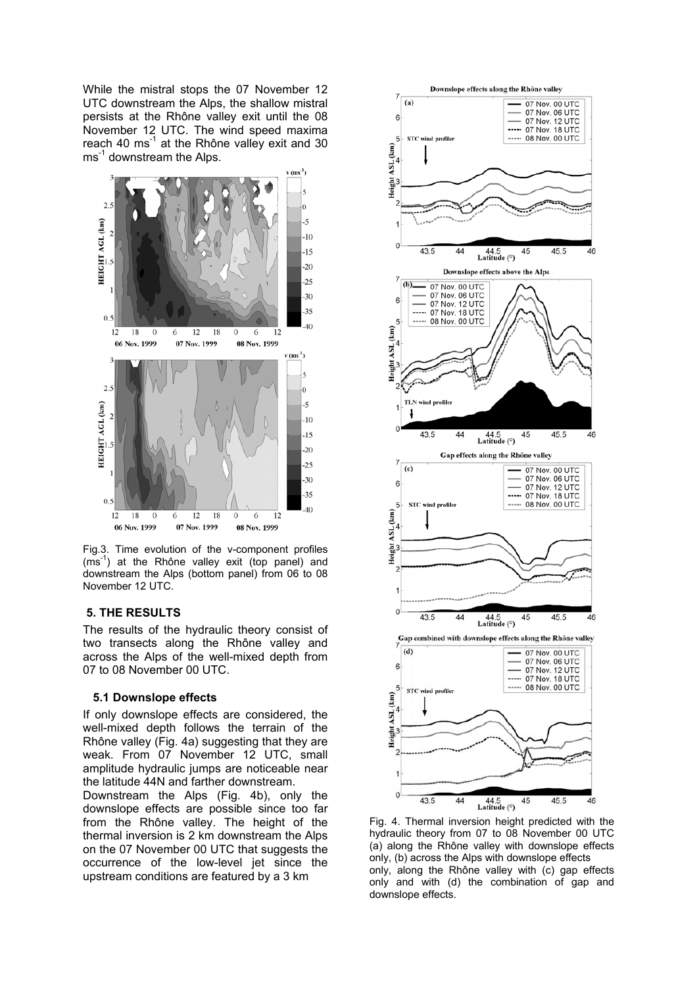While the mistral stops the 07 November 12 UTC downstream the Alps, the shallow mistral persists at the Rhône valley exit until the 08 November 12 UTC. The wind speed maxima reach 40 ms<sup>-1</sup> at the Rhône valley exit and 30 ms<sup>-1</sup> downstream the Alps.



Fig.3. Time evolution of the v-component profiles  $(ms<sup>-1</sup>)$  at the Rhône valley exit (top panel) and downstream the Alps (bottom panel) from 06 to 08 November 12 UTC.

#### **5. THE RESULTS**

The results of the hydraulic theory consist of two transects along the Rhône valley and across the Alps of the well-mixed depth from 07 to 08 November 00 UTC.

#### **5.1 Downslope effects**

If only downslope effects are considered, the well-mixed depth follows the terrain of the Rhône valley (Fig. 4a) suggesting that they are weak. From 07 November 12 UTC, small amplitude hydraulic jumps are noticeable near the latitude 44N and farther downstream.

Downstream the Alps (Fig. 4b), only the downslope effects are possible since too far from the Rhône valley. The height of the thermal inversion is 2 km downstream the Alps on the 07 November 00 UTC that suggests the occurrence of the low-level jet since the upstream conditions are featured by a 3 km



Fig. 4. Thermal inversion height predicted with the hydraulic theory from 07 to 08 November 00 UTC (a) along the Rhône valley with downslope effects only, (b) across the Alps with downslope effects only, along the Rhône valley with (c) gap effects only and with (d) the combination of gap and downslope effects.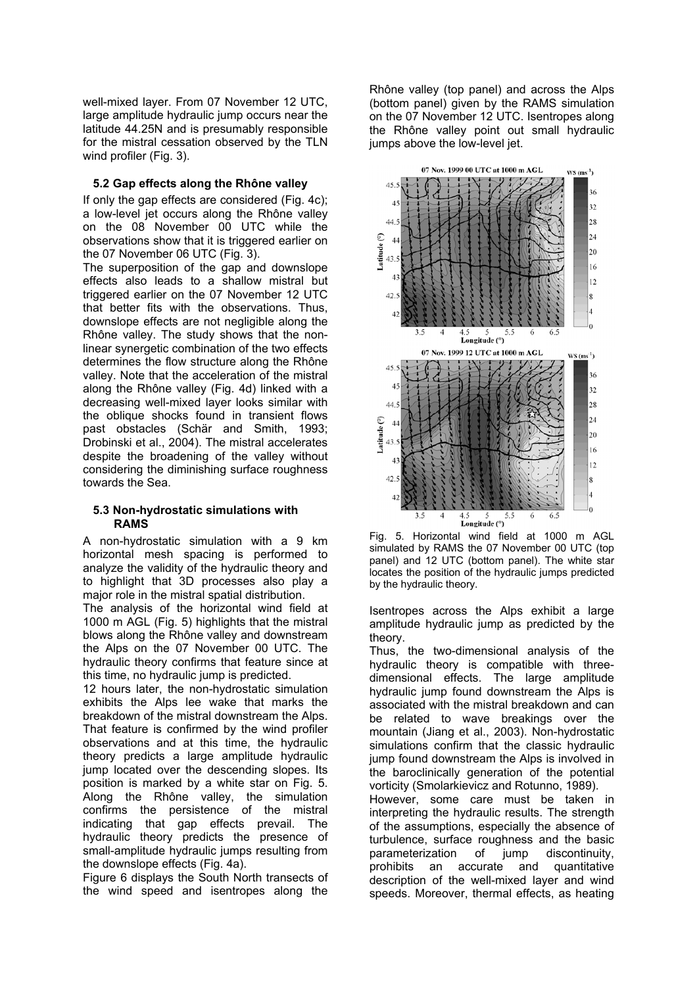well-mixed layer. From 07 November 12 UTC, large amplitude hydraulic jump occurs near the latitude 44.25N and is presumably responsible for the mistral cessation observed by the TLN wind profiler (Fig. 3).

### **5.2 Gap effects along the Rhône valley**

If only the gap effects are considered (Fig. 4c); a low-level jet occurs along the Rhône valley on the 08 November 00 UTC while the observations show that it is triggered earlier on the 07 November 06 UTC (Fig. 3).

The superposition of the gap and downslope effects also leads to a shallow mistral but triggered earlier on the 07 November 12 UTC that better fits with the observations. Thus, downslope effects are not negligible along the Rhône valley. The study shows that the nonlinear synergetic combination of the two effects determines the flow structure along the Rhône valley. Note that the acceleration of the mistral along the Rhône valley (Fig. 4d) linked with a decreasing well-mixed layer looks similar with the oblique shocks found in transient flows past obstacles (Schär and Smith, 1993; Drobinski et al., 2004). The mistral accelerates despite the broadening of the valley without considering the diminishing surface roughness towards the Sea.

### **5.3 Non-hydrostatic simulations with RAMS**

A non-hydrostatic simulation with a 9 km horizontal mesh spacing is performed to analyze the validity of the hydraulic theory and to highlight that 3D processes also play a major role in the mistral spatial distribution.

The analysis of the horizontal wind field at 1000 m AGL (Fig. 5) highlights that the mistral blows along the Rhône valley and downstream the Alps on the 07 November 00 UTC. The hydraulic theory confirms that feature since at this time, no hydraulic jump is predicted.

12 hours later, the non-hydrostatic simulation exhibits the Alps lee wake that marks the breakdown of the mistral downstream the Alps. That feature is confirmed by the wind profiler observations and at this time, the hydraulic theory predicts a large amplitude hydraulic jump located over the descending slopes. Its position is marked by a white star on Fig. 5. Along the Rhône valley, the simulation confirms the persistence of the mistral indicating that gap effects prevail. The hydraulic theory predicts the presence of small-amplitude hydraulic jumps resulting from the downslope effects (Fig. 4a).

Figure 6 displays the South North transects of the wind speed and isentropes along the

Rhône valley (top panel) and across the Alps (bottom panel) given by the RAMS simulation on the 07 November 12 UTC. Isentropes along the Rhône valley point out small hydraulic jumps above the low-level jet.





Isentropes across the Alps exhibit a large amplitude hydraulic jump as predicted by the theory.

Thus, the two-dimensional analysis of the hydraulic theory is compatible with threedimensional effects. The large amplitude hydraulic jump found downstream the Alps is associated with the mistral breakdown and can be related to wave breakings over the mountain (Jiang et al., 2003). Non-hydrostatic simulations confirm that the classic hydraulic jump found downstream the Alps is involved in the baroclinically generation of the potential vorticity (Smolarkievicz and Rotunno, 1989).

However, some care must be taken in interpreting the hydraulic results. The strength of the assumptions, especially the absence of turbulence, surface roughness and the basic parameterization of jump discontinuity, prohibits an accurate and quantitative description of the well-mixed layer and wind speeds. Moreover, thermal effects, as heating